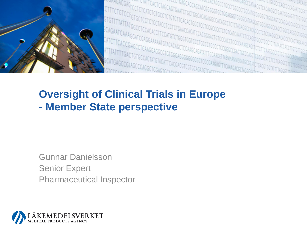

#### **Oversight of Clinical Trials in Europe - Member State perspective**

Gunnar Danielsson Senior Expert Pharmaceutical Inspector

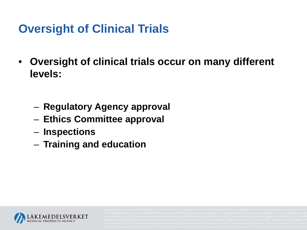# **Oversight of Clinical Trials**

- **Oversight of clinical trials occur on many different levels:**
	- **Regulatory Agency approval**
	- **Ethics Committee approval**
	- **Inspections**
	- **Training and education**

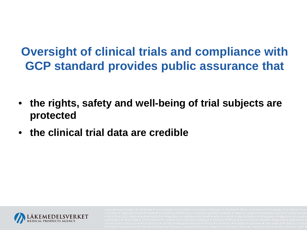# **Oversight of clinical trials and compliance with GCP standard provides public assurance that**

- **the rights, safety and well-being of trial subjects are protected**
- **the clinical trial data are credible**

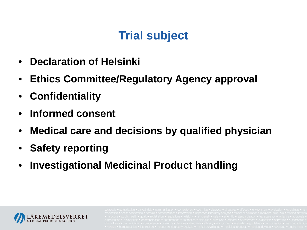# **Trial subject**

- **Declaration of Helsinki**
- **Ethics Committee/Regulatory Agency approval**
- **Confidentiality**
- **Informed consent**
- **Medical care and decisions by qualified physician**
- **Safety reporting**
- **Investigational Medicinal Product handling**

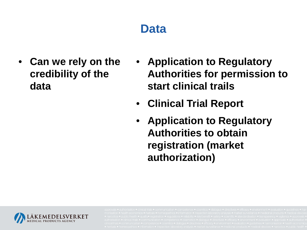### **Data**

- **Can we rely on the credibility of the data**
- **Application to Regulatory Authorities for permission to start clinical trails**
- **Clinical Trial Report**
- **Application to Regulatory Authorities to obtain registration (market authorization)**

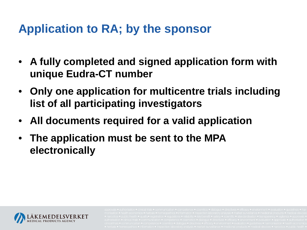#### **Application to RA; by the sponsor**

- **A fully completed and signed application form with unique Eudra-CT number**
- **Only one application for multicentre trials including list of all participating investigators**
- **All documents required for a valid application**
- **The application must be sent to the MPA electronically**

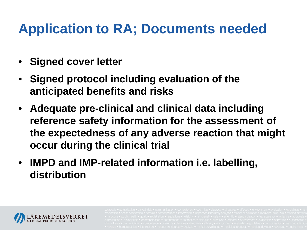# **Application to RA; Documents needed**

- **Signed cover letter**
- **Signed protocol including evaluation of the anticipated benefits and risks**
- **Adequate pre-clinical and clinical data including reference safety information for the assessment of the expectedness of any adverse reaction that might occur during the clinical trial**
- **IMPD and IMP-related information i.e. labelling, distribution**

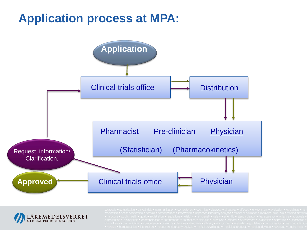# **Application process at MPA:**



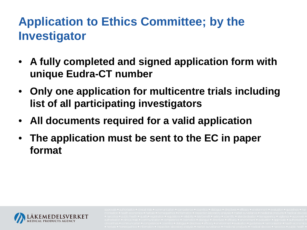# **Application to Ethics Committee; by the Investigator**

- **A fully completed and signed application form with unique Eudra-CT number**
- **Only one application for multicentre trials including list of all participating investigators**
- **All documents required for a valid application**
- **The application must be sent to the EC in paper format**

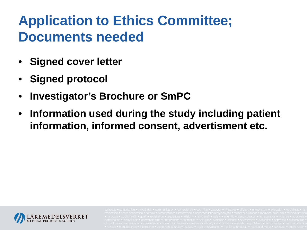# **Application to Ethics Committee; Documents needed**

- **Signed cover letter**
- **Signed protocol**
- **Investigator's Brochure or SmPC**
- **Information used during the study including patient information, informed consent, advertisment etc.**

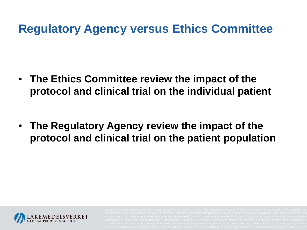#### **Regulatory Agency versus Ethics Committee**

• **The Ethics Committee review the impact of the protocol and clinical trial on the individual patient**

• **The Regulatory Agency review the impact of the protocol and clinical trial on the patient population**

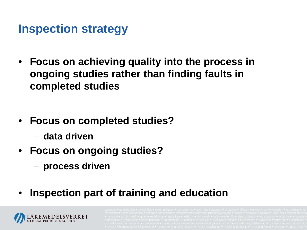#### **Inspection strategy**

- **Focus on achieving quality into the process in ongoing studies rather than finding faults in completed studies**
- **Focus on completed studies?**
	- **data driven**
- **Focus on ongoing studies?**
	- **process driven**
- **Inspection part of training and education**

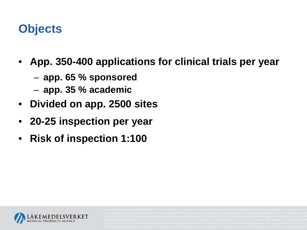#### **Objects**

- **App. 350-400 applications for clinical trials per year**
	- **app. 65 % sponsored**
	- **app. 35 % academic**
- **Divided on app. 2500 sites**
- **20-25 inspection per year**
- **Risk of inspection 1:100**

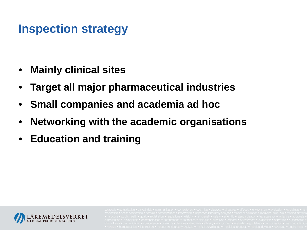### **Inspection strategy**

- **Mainly clinical sites**
- **Target all major pharmaceutical industries**
- **Small companies and academia ad hoc**
- **Networking with the academic organisations**
- **Education and training**

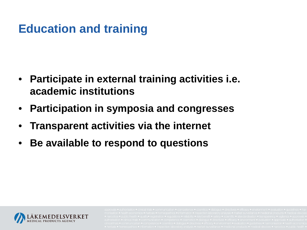# **Education and training**

- **Participate in external training activities i.e. academic institutions**
- **Participation in symposia and congresses**
- **Transparent activities via the internet**
- **Be available to respond to questions**

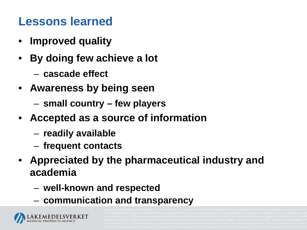#### **Lessons learned**

- **Improved quality**
- **By doing few achieve a lot**
	- **cascade effect**
- **Awareness by being seen**
	- **small country – few players**
- **Accepted as a source of information**
	- **readily available**
	- **frequent contacts**
- **Appreciated by the pharmaceutical industry and academia**
	- **well-known and respected**
	- **communication and transparency**

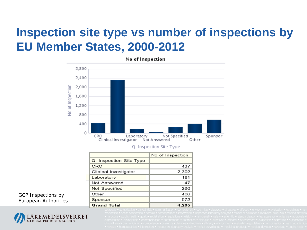## **Inspection site type vs number of inspections by EU Member States, 2000-2012**



|                         | No of Inspection |
|-------------------------|------------------|
| Q. Inspection Site Type |                  |
| <b>CRO</b>              | 437              |
| Clinical Investigator   | 2.302            |
| Laboratory              | 181              |
| Not Answered            | 47               |
| <b>Not Specified</b>    | 260              |
| Other                   | 406              |
| Sponsor                 | 572              |
| <b>Grand Total</b>      |                  |

#### GCP Inspections by European Authorities